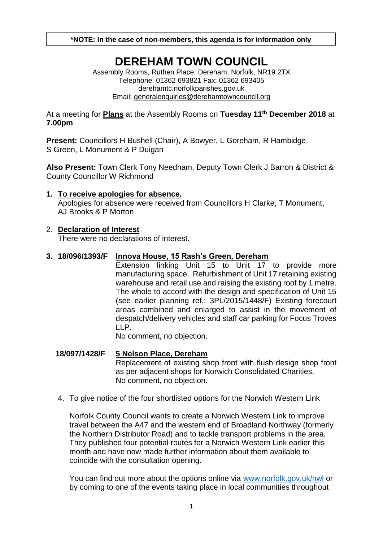**\*NOTE: In the case of non-members, this agenda is for information only**

# **DEREHAM TOWN COUNCIL**

Assembly Rooms, Rüthen Place, Dereham, Norfolk, NR19 2TX Telephone: 01362 693821 Fax: 01362 693405 derehamtc.norfolkparishes.gov.uk Email: [generalenquiries@derehamtowncouncil.org](mailto:generalenquiries@derehamtowncouncil.org)

At a meeting for **Plans** at the Assembly Rooms on **Tuesday 11th December 2018** at **7.00pm**.

**Present:** Councillors H Bushell (Chair), A Bowyer, L Goreham, R Hambidge, S Green, L Monument & P Duigan

**Also Present:** Town Clerk Tony Needham, Deputy Town Clerk J Barron & District & County Councillor W Richmond

# **1. To receive apologies for absence.**

Apologies for absence were received from Councillors H Clarke, T Monument, AJ Brooks & P Morton

# 2. **Declaration of Interest**

There were no declarations of interest.

# **3. 18/096/1393/F Innova House, 15 Rash's Green, Dereham**

Extension linking Unit 15 to Unit 17 to provide more manufacturing space. Refurbishment of Unit 17 retaining existing warehouse and retail use and raising the existing roof by 1 metre. The whole to accord with the design and specification of Unit 15 (see earlier planning ref.: 3PL/2015/1448/F) Existing forecourt areas combined and enlarged to assist in the movement of despatch/delivery vehicles and staff car parking for Focus Troves LLP.

No comment, no objection.

**18/097/1428/F 5 Nelson Place, Dereham** Replacement of existing shop front with flush design shop front as per adjacent shops for Norwich Consolidated Charities. No comment, no objection.

4. To give notice of the four shortlisted options for the Norwich Western Link

Norfolk County Council wants to create a Norwich Western Link to improve travel between the A47 and the western end of Broadland Northway (formerly the Northern Distributor Road) and to tackle transport problems in the area. They published four potential routes for a Norwich Western Link earlier this month and have now made further information about them available to coincide with the consultation opening.

You can find out more about the options online via<www.norfolk.gov.uk/nwl> or by coming to one of the events taking place in local communities throughout